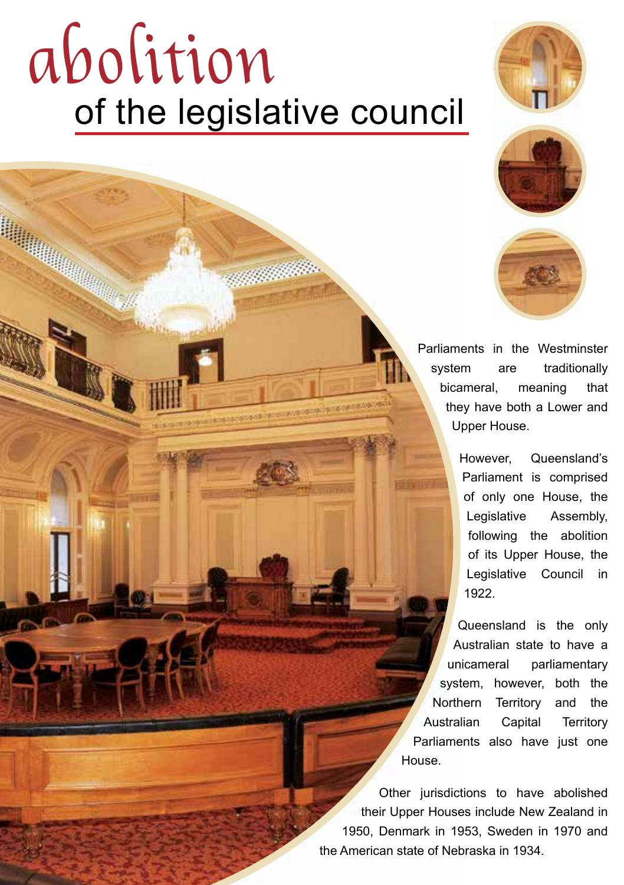# abolition of the legislative council

E BANDING BANDING BANDING BANDING BANDING BANDING BANDING BANDING BANDING BANDING BANDING BANDING BANDING BAND<br>Banding Banding Banding Banding Banding Banding Banding Banding Banding Banding Banding Banding Banding Banding







Parliaments in the Westminster system are traditionally bicameral, meaning that they have both a Lower and Upper House.

> However, Queensland's Parliament is comprised of only one House, the Legislative Assembly, following the abolition of its Upper House, the Legislative Council in 1922.

Queensland is the only Australian state to have a unicameral parliamentary system, however, both the Northern Territory and the Australian Capital Territory Parliaments also have just one House.

Other jurisdictions to have abolished their Upper Houses include New Zealand in 1950, Denmark in 1953, Sweden in 1970 and the American state of Nebraska in 1934.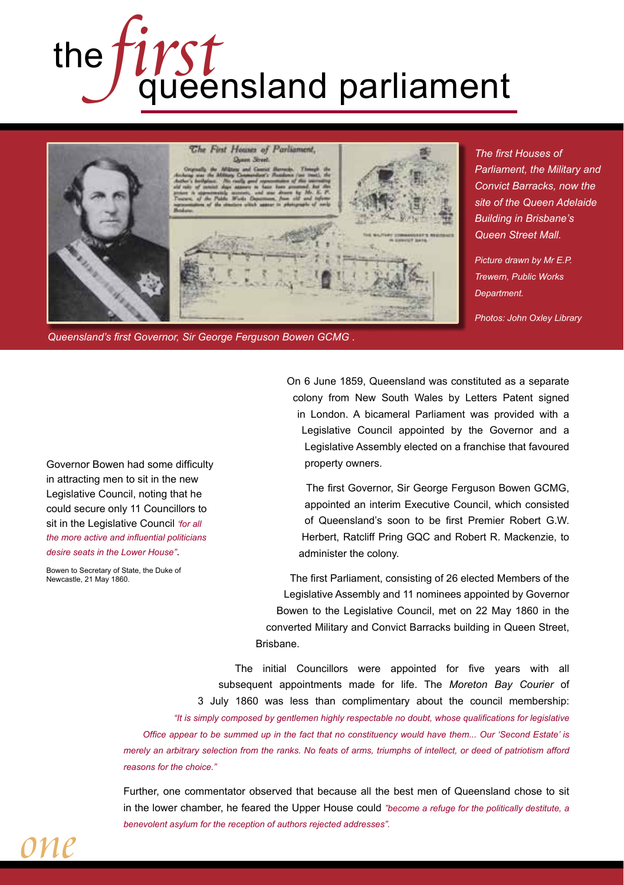## $first \rm{queensland}$  parliament the



*The first Houses of Parliament, the Military and Convict Barracks, now the site of the Queen Adelaide Building in Brisbane's Queen Street Mall.*

*Picture drawn by Mr E.P. Trewern, Public Works Department.* 

*Photos: John Oxley Library*

*Queensland's first Governor, Sir George Ferguson Bowen GCMG .*

Governor Bowen had some difficulty in attracting men to sit in the new Legislative Council, noting that he could secure only 11 Councillors to sit in the Legislative Council *'for all the more active and influential politicians desire seats in the Lower House"*.

Bowen to Secretary of State, the Duke of Newcastle, 21 May 1860.

On 6 June 1859, Queensland was constituted as a separate colony from New South Wales by Letters Patent signed in London. A bicameral Parliament was provided with a Legislative Council appointed by the Governor and a Legislative Assembly elected on a franchise that favoured property owners.

The first Governor, Sir George Ferguson Bowen GCMG, appointed an interim Executive Council, which consisted of Queensland's soon to be first Premier Robert G.W. Herbert, Ratcliff Pring GQC and Robert R. Mackenzie, to administer the colony.

The first Parliament, consisting of 26 elected Members of the Legislative Assembly and 11 nominees appointed by Governor Bowen to the Legislative Council, met on 22 May 1860 in the converted Military and Convict Barracks building in Queen Street, Brisbane.

The initial Councillors were appointed for five years with all subsequent appointments made for life. The *Moreton Bay Courier* of 3 July 1860 was less than complimentary about the council membership: *"It is simply composed by gentlemen highly respectable no doubt, whose qualifications for legislative Office appear to be summed up in the fact that no constituency would have them... Our 'Second Estate' is merely an arbitrary selection from the ranks. No feats of arms, triumphs of intellect, or deed of patriotism afford reasons for the choice."*

Further, one commentator observed that because all the best men of Queensland chose to sit in the lower chamber, he feared the Upper House could *"become a refuge for the politically destitute, a benevolent asylum for the reception of authors rejected addresses".*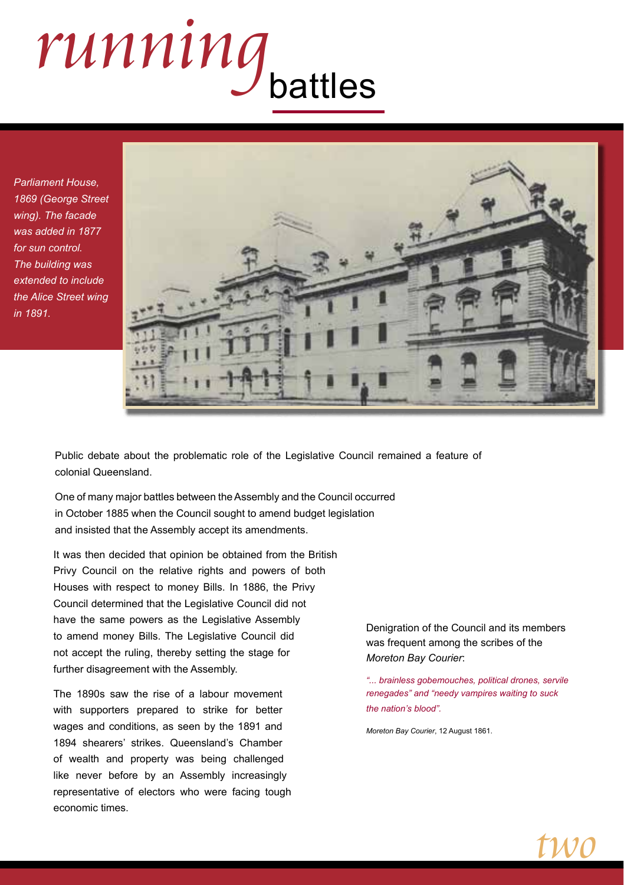

*Parliament House, 1869 (George Street wing). The facade was added in 1877 for sun control. The building was extended to include the Alice Street wing in 1891.*



Public debate about the problematic role of the Legislative Council remained a feature of colonial Queensland.

One of many major battles between the Assembly and the Council occurred in October 1885 when the Council sought to amend budget legislation and insisted that the Assembly accept its amendments.

It was then decided that opinion be obtained from the British Privy Council on the relative rights and powers of both Houses with respect to money Bills. In 1886, the Privy Council determined that the Legislative Council did not have the same powers as the Legislative Assembly to amend money Bills. The Legislative Council did not accept the ruling, thereby setting the stage for further disagreement with the Assembly.

The 1890s saw the rise of a labour movement with supporters prepared to strike for better wages and conditions, as seen by the 1891 and 1894 shearers' strikes. Queensland's Chamber of wealth and property was being challenged like never before by an Assembly increasingly representative of electors who were facing tough economic times.

Denigration of the Council and its members was frequent among the scribes of the *Moreton Bay Courier*:

*"... brainless gobemouches, political drones, servile renegades" and "needy vampires waiting to suck the nation's blood".* 

*Moreton Bay Courier*, 12 August 1861.

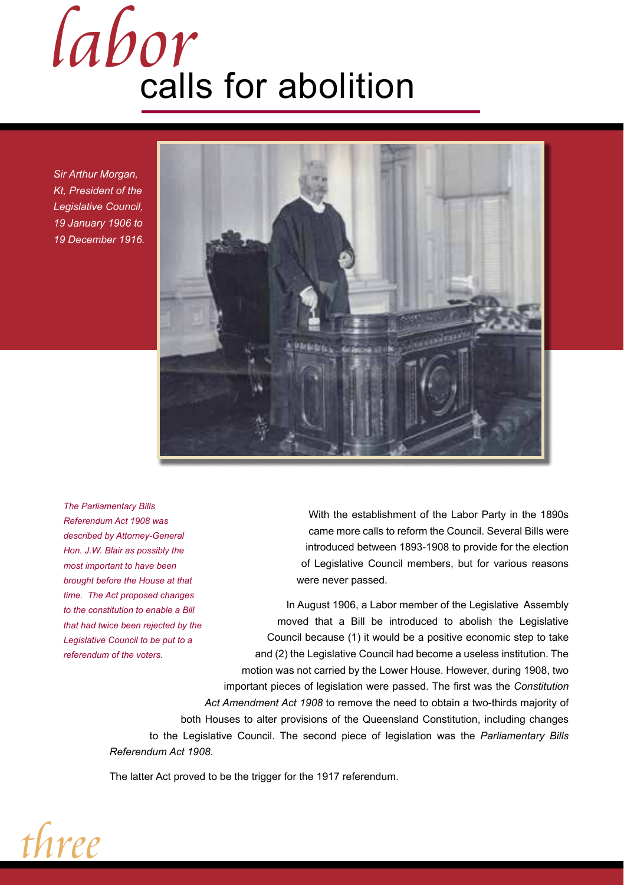# labor calls for abolition

*Sir Arthur Morgan, Kt, President of the Legislative Council, 19 January 1906 to 19 December 1916.*



*The Parliamentary Bills Referendum Act 1908 was described by Attorney-General Hon. J.W. Blair as possibly the most important to have been brought before the House at that time. The Act proposed changes to the constitution to enable a Bill that had twice been rejected by the Legislative Council to be put to a referendum of the voters.*

With the establishment of the Labor Party in the 1890s came more calls to reform the Council. Several Bills were introduced between 1893-1908 to provide for the election of Legislative Council members, but for various reasons were never passed.

In August 1906, a Labor member of the Legislative Assembly moved that a Bill be introduced to abolish the Legislative Council because (1) it would be a positive economic step to take and (2) the Legislative Council had become a useless institution. The motion was not carried by the Lower House. However, during 1908, two important pieces of legislation were passed. The first was the *Constitution Act Amendment Act 1908* to remove the need to obtain a two-thirds majority of both Houses to alter provisions of the Queensland Constitution, including changes to the Legislative Council. The second piece of legislation was the *Parliamentary Bills Referendum Act 1908*.

The latter Act proved to be the trigger for the 1917 referendum.

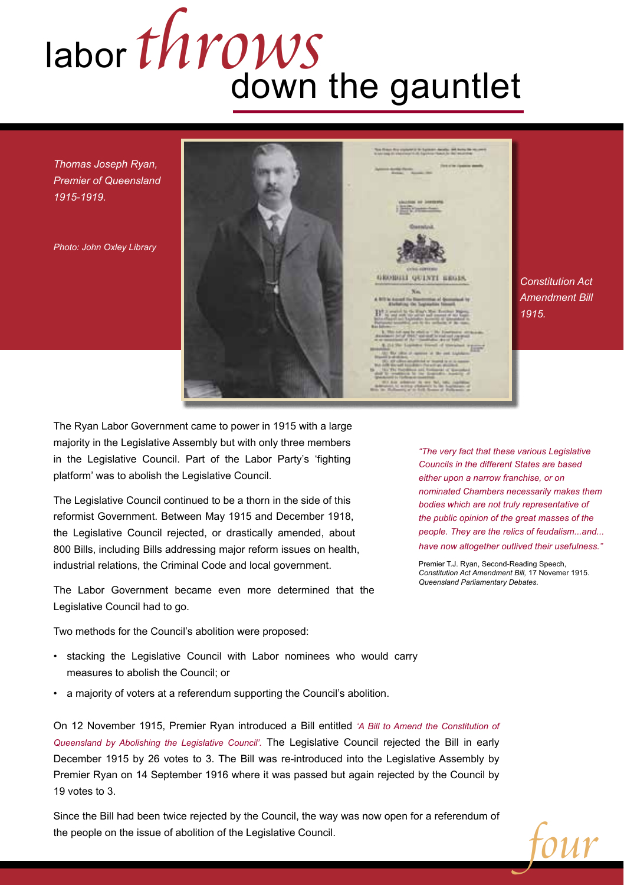### throws down the gauntlet labor

Sa Dan Ay convert in Lotari, Andy. All hots to

GROBILI QUENTI ERGIS.

A 813 to August The Time

*Thomas Joseph Ryan, Premier of Queensland 1915-1919.*

*Photo: John Oxley Library* 

The Ryan Labor Government came to power in 1915 with a large majority in the Legislative Assembly but with only three members in the Legislative Council. Part of the Labor Party's 'fighting platform' was to abolish the Legislative Council.

The Legislative Council continued to be a thorn in the side of this reformist Government. Between May 1915 and December 1918, the Legislative Council rejected, or drastically amended, about 800 Bills, including Bills addressing major reform issues on health, industrial relations, the Criminal Code and local government.

The Labor Government became even more determined that the Legislative Council had to go.

Two methods for the Council's abolition were proposed:

- stacking the Legislative Council with Labor nominees who would carry measures to abolish the Council; or
- a majority of voters at a referendum supporting the Council's abolition.

On 12 November 1915, Premier Ryan introduced a Bill entitled *'A Bill to Amend the Constitution of Queensland by Abolishing the Legislative Council'.* The Legislative Council rejected the Bill in early December 1915 by 26 votes to 3. The Bill was re-introduced into the Legislative Assembly by Premier Ryan on 14 September 1916 where it was passed but again rejected by the Council by 19 votes to 3.

Since the Bill had been twice rejected by the Council, the way was now open for a referendum of the people on the issue of abolition of the Legislative Council.



Premier T.J. Ryan, Second-Reading Speech, *Constitution Act Amendment Bill,* 17 Novemer 1915. *Queensland Parliamentary Debates.*



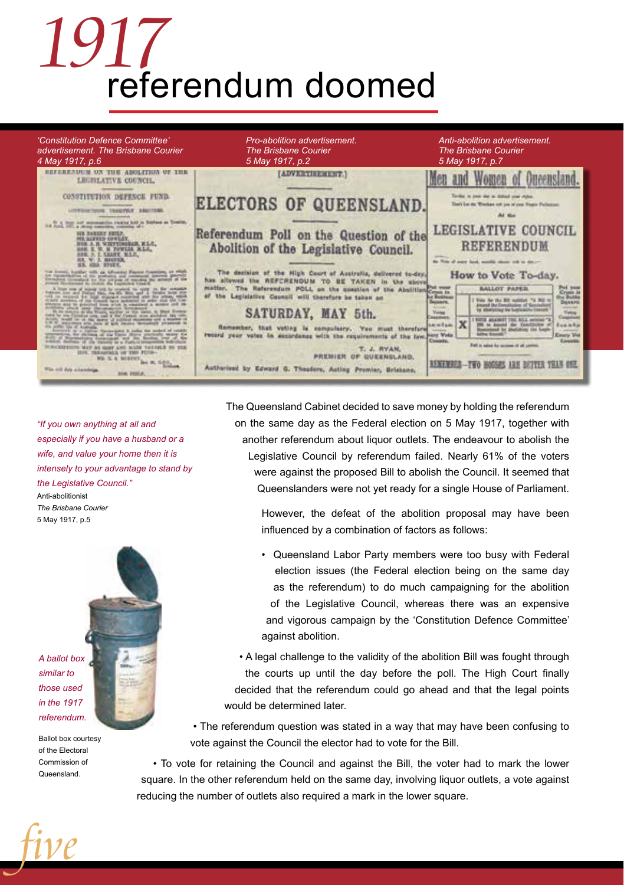## 1917 referendum doomed



#### *"If you own anything at all and*

*especially if you have a husband or a wife, and value your home then it is intensely to your advantage to stand by the Legislative Council."*

Anti-abolitionist *The Brisbane Courier* 5 May 1917, p.5



*in the 1917 referendum.* Ballot box courtesy of the Electoral Commission of

Queensland.

five

The Queensland Cabinet decided to save money by holding the referendum on the same day as the Federal election on 5 May 1917, together with another referendum about liquor outlets. The endeavour to abolish the Legislative Council by referendum failed. Nearly 61% of the voters were against the proposed Bill to abolish the Council. It seemed that Queenslanders were not yet ready for a single House of Parliament.

> However, the defeat of the abolition proposal may have been influenced by a combination of factors as follows:

- Queensland Labor Party members were too busy with Federal election issues (the Federal election being on the same day as the referendum) to do much campaigning for the abolition of the Legislative Council, whereas there was an expensive and vigorous campaign by the 'Constitution Defence Committee' against abolition.
- A legal challenge to the validity of the abolition Bill was fought through the courts up until the day before the poll. The High Court finally decided that the referendum could go ahead and that the legal points would be determined later.

• The referendum question was stated in a way that may have been confusing to vote against the Council the elector had to vote for the Bill.

• To vote for retaining the Council and against the Bill, the voter had to mark the lower square. In the other referendum held on the same day, involving liquor outlets, a vote against reducing the number of outlets also required a mark in the lower square.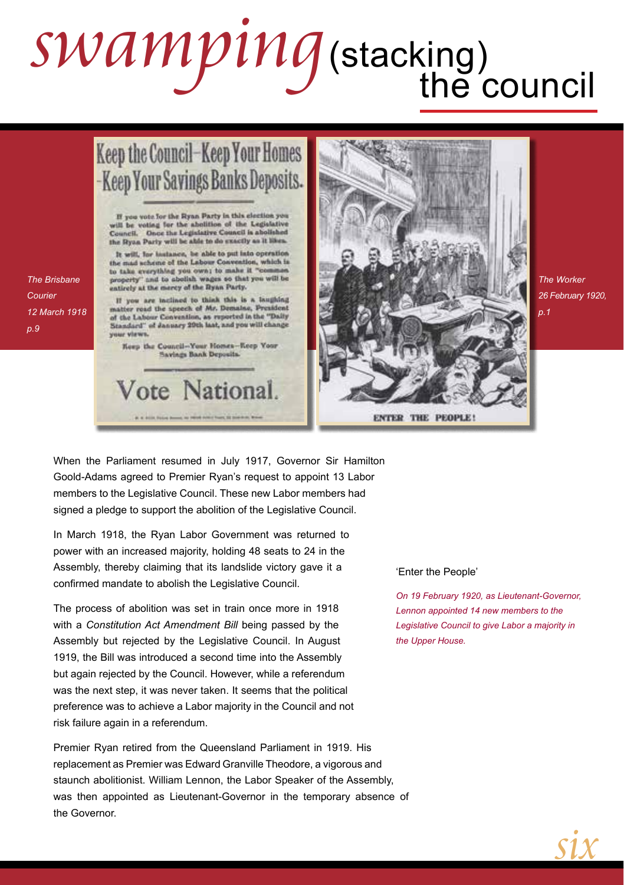### swamping (stacking)<br>the council (stacking)



When the Parliament resumed in July 1917, Governor Sir Hamilton Goold-Adams agreed to Premier Ryan's request to appoint 13 Labor members to the Legislative Council. These new Labor members had signed a pledge to support the abolition of the Legislative Council.

In March 1918, the Ryan Labor Government was returned to power with an increased majority, holding 48 seats to 24 in the Assembly, thereby claiming that its landslide victory gave it a confirmed mandate to abolish the Legislative Council.

*Courier* 

*p.9*

The process of abolition was set in train once more in 1918 with a *Constitution Act Amendment Bill* being passed by the Assembly but rejected by the Legislative Council. In August 1919, the Bill was introduced a second time into the Assembly but again rejected by the Council. However, while a referendum was the next step, it was never taken. It seems that the political preference was to achieve a Labor majority in the Council and not risk failure again in a referendum.

Premier Ryan retired from the Queensland Parliament in 1919. His replacement as Premier was Edward Granville Theodore, a vigorous and staunch abolitionist. William Lennon, the Labor Speaker of the Assembly, was then appointed as Lieutenant-Governor in the temporary absence of the Governor.

### 'Enter the People'

*On 19 February 1920, as Lieutenant-Governor, Lennon appointed 14 new members to the Legislative Council to give Labor a majority in the Upper House.* 



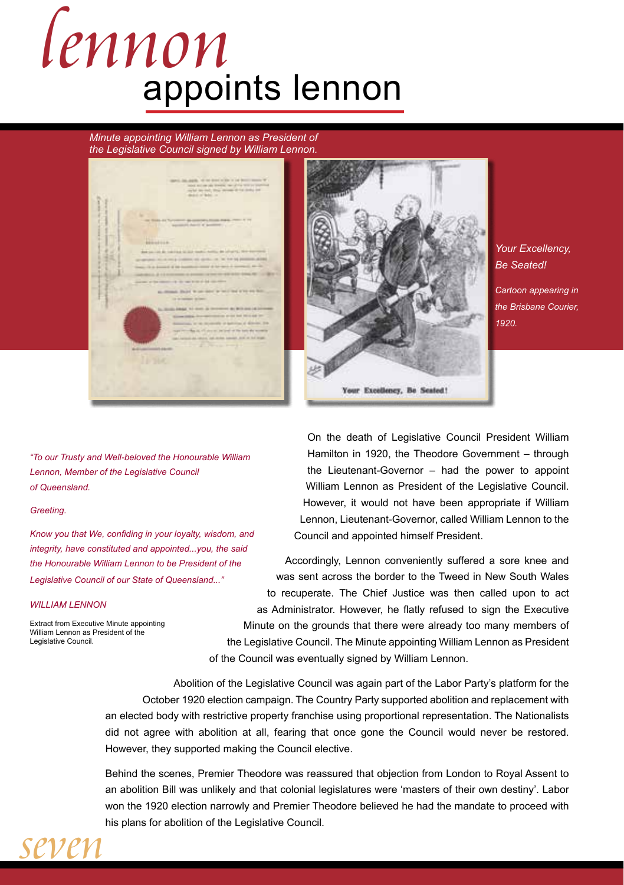# lennon appoints lennon

#### *Minute appointing William Lennon as President of the Legislative Council signed by William Lennon.*





*Your Excellency, Be Seated! Cartoon appearing in the Brisbane Courier, 1920.*

*"To our Trusty and Well-beloved the Honourable William Lennon, Member of the Legislative Council of Queensland.*

#### *Greeting.*

*Know you that We, confiding in your loyalty, wisdom, and integrity, have constituted and appointed...you, the said the Honourable William Lennon to be President of the Legislative Council of our State of Queensland..."* 

#### *WILLIAM LENNON*

Extract from Executive Minute appointing William Lennon as President of the Legislative Council.

On the death of Legislative Council President William Hamilton in 1920, the Theodore Government – through the Lieutenant-Governor – had the power to appoint William Lennon as President of the Legislative Council. However, it would not have been appropriate if William Lennon, Lieutenant-Governor, called William Lennon to the Council and appointed himself President.

Accordingly, Lennon conveniently suffered a sore knee and was sent across the border to the Tweed in New South Wales to recuperate. The Chief Justice was then called upon to act as Administrator. However, he flatly refused to sign the Executive Minute on the grounds that there were already too many members of the Legislative Council. The Minute appointing William Lennon as President of the Council was eventually signed by William Lennon.

Abolition of the Legislative Council was again part of the Labor Party's platform for the October 1920 election campaign. The Country Party supported abolition and replacement with an elected body with restrictive property franchise using proportional representation. The Nationalists did not agree with abolition at all, fearing that once gone the Council would never be restored. However, they supported making the Council elective.

Behind the scenes, Premier Theodore was reassured that objection from London to Royal Assent to an abolition Bill was unlikely and that colonial legislatures were 'masters of their own destiny'. Labor won the 1920 election narrowly and Premier Theodore believed he had the mandate to proceed with his plans for abolition of the Legislative Council.

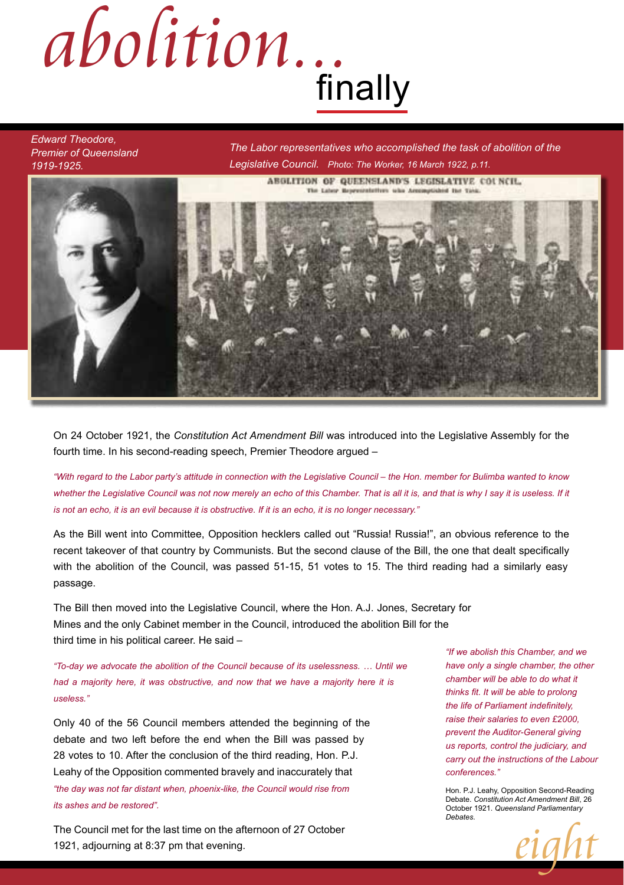

### *Edward Theodore, Premier of Queensland 1919-1925.*

*The Labor representatives who accomplished the task of abolition of the Legislative Council. Photo: The Worker, 16 March 1922, p.11.*



On 24 October 1921, the *Constitution Act Amendment Bill* was introduced into the Legislative Assembly for the fourth time. In his second-reading speech, Premier Theodore argued –

*"With regard to the Labor party's attitude in connection with the Legislative Council – the Hon. member for Bulimba wanted to know*  whether the Legislative Council was not now merely an echo of this Chamber. That is all it is, and that is why I say it is useless. If it *is not an echo, it is an evil because it is obstructive. If it is an echo, it is no longer necessary."* 

As the Bill went into Committee, Opposition hecklers called out "Russia! Russia!", an obvious reference to the recent takeover of that country by Communists. But the second clause of the Bill, the one that dealt specifically with the abolition of the Council, was passed 51-15, 51 votes to 15. The third reading had a similarly easy passage.

The Bill then moved into the Legislative Council, where the Hon. A.J. Jones, Secretary for Mines and the only Cabinet member in the Council, introduced the abolition Bill for the third time in his political career. He said –

*"To-day we advocate the abolition of the Council because of its uselessness. … Until we had a majority here, it was obstructive, and now that we have a majority here it is useless."* 

Only 40 of the 56 Council members attended the beginning of the debate and two left before the end when the Bill was passed by 28 votes to 10. After the conclusion of the third reading, Hon. P.J. Leahy of the Opposition commented bravely and inaccurately that *"the day was not far distant when, phoenix-like, the Council would rise from its ashes and be restored".* 

The Council met for the last time on the afternoon of 27 October 1921, adjourning at 8:37 pm that evening.

*"If we abolish this Chamber, and we have only a single chamber, the other chamber will be able to do what it thinks fit. It will be able to prolong the life of Parliament indefinitely, raise their salaries to even £2000, prevent the Auditor-General giving us reports, control the judiciary, and carry out the instructions of the Labour conferences."*

Hon. P.J. Leahy, Opposition Second-Reading Debate. *Constitution Act Amendment Bill*, 26 October 1921. *Queensland Parliamentary Debates.*

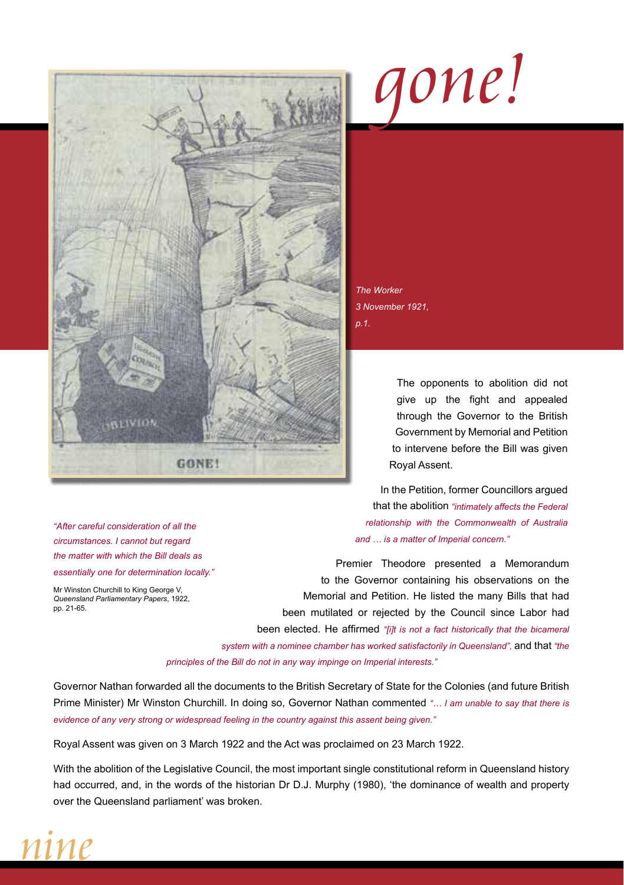

gone!

*The Worker 3 November 1921, p.1.*

> The opponents to abolition did not give up the fight and appealed through the Governor to the British Government by Memorial and Petition to intervene before the Bill was given Royal Assent.

In the Petition, former Councillors argued that the abolition *"intimately affects the Federal relationship with the Commonwealth of Australia and … is a matter of Imperial concern."* 

*"After careful consideration of all the circumstances. I cannot but regard the matter with which the Bill deals as essentially one for determination locally."* Mr Winston Churchill to King George V,

*Queensland Parliamentary Papers*, 1922, pp. 21-65.

Premier Theodore presented a Memorandum to the Governor containing his observations on the Memorial and Petition. He listed the many Bills that had been mutilated or rejected by the Council since Labor had been elected. He affirmed *"[i]t is not a fact historically that the bicameral system with a nominee chamber has worked satisfactorily in Queensland",* and that *"the* 

*principles of the Bill do not in any way impinge on Imperial interests."*

Governor Nathan forwarded all the documents to the British Secretary of State for the Colonies (and future British Prime Minister) Mr Winston Churchill. In doing so, Governor Nathan commented *"… I am unable to say that there is evidence of any very strong or widespread feeling in the country against this assent being given."*

Royal Assent was given on 3 March 1922 and the Act was proclaimed on 23 March 1922.

With the abolition of the Legislative Council, the most important single constitutional reform in Queensland history had occurred, and, in the words of the historian Dr D.J. Murphy (1980), 'the dominance of wealth and property over the Queensland parliament' was broken.

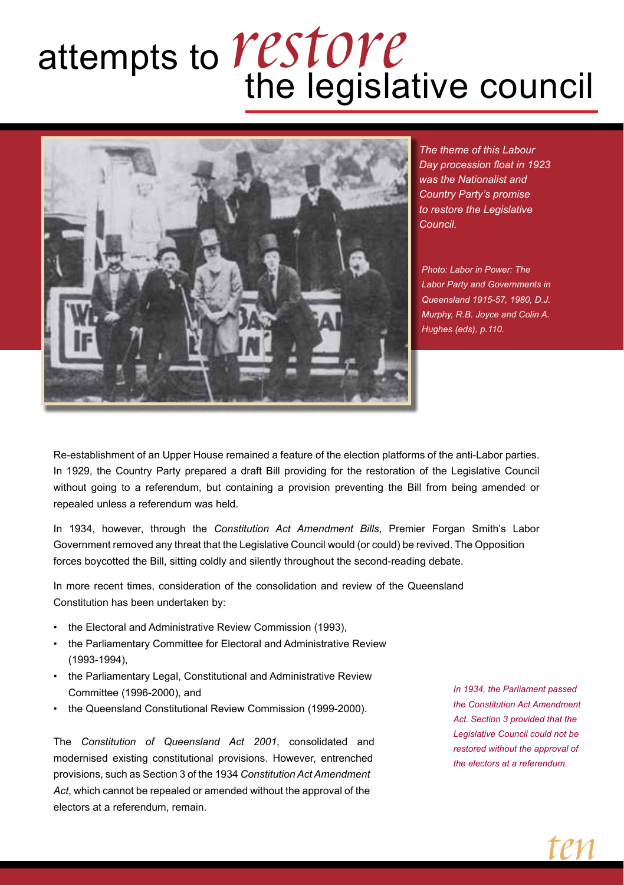### restore attempts to *I CSIUI C*<br>the legislative council



*The theme of this Labour Day procession float in 1923 was the Nationalist and Country Party's promise to restore the Legislative Council.*

*Photo: Labor in Power: The Labor Party and Governments in Queensland 1915-57, 1980, D.J. Murphy, R.B. Joyce and Colin A. Hughes (eds), p.110.* 

Re-establishment of an Upper House remained a feature of the election platforms of the anti-Labor parties. In 1929, the Country Party prepared a draft Bill providing for the restoration of the Legislative Council without going to a referendum, but containing a provision preventing the Bill from being amended or repealed unless a referendum was held.

In 1934, however, through the *Constitution Act Amendment Bills*, Premier Forgan Smith's Labor Government removed any threat that the Legislative Council would (or could) be revived. The Opposition forces boycotted the Bill, sitting coldly and silently throughout the second-reading debate.

In more recent times, consideration of the consolidation and review of the Queensland Constitution has been undertaken by:

- the Electoral and Administrative Review Commission (1993),
- the Parliamentary Committee for Electoral and Administrative Review (1993-1994),
- the Parliamentary Legal, Constitutional and Administrative Review Committee (1996-2000), and
- the Queensland Constitutional Review Commission (1999-2000).

The *Constitution of Queensland Act 2001*, consolidated and modernised existing constitutional provisions. However, entrenched provisions, such as Section 3 of the 1934 *Constitution Act Amendment Act*, which cannot be repealed or amended without the approval of the electors at a referendum, remain.

*In 1934, the Parliament passed the Constitution Act Amendment Act. Section 3 provided that the Legislative Council could not be restored without the approval of the electors at a referendum.*